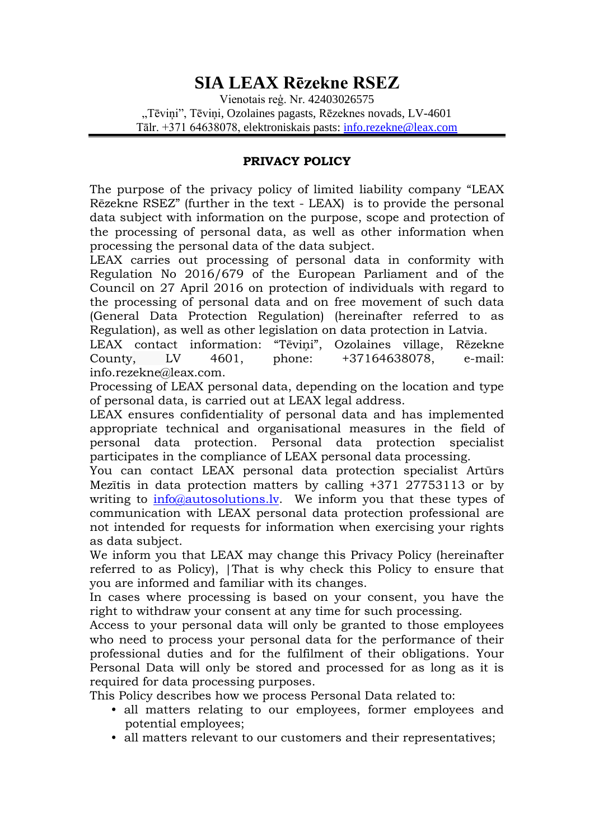# **SIA LEAX Rēzekne RSEZ**

Vienotais reģ. Nr. 42403026575 "Tēviņi", Tēviņi, Ozolaines pagasts, Rēzeknes novads, LV-4601 Tālr. +371 64638078, elektroniskais pasts: [info.rezekne@leax.com](mailto:info.rezekne@leax.com)

#### **PRIVACY POLICY**

The purpose of the privacy policy of limited liability company "LEAX Rēzekne RSEZ" (further in the text - LEAX) is to provide the personal data subject with information on the purpose, scope and protection of the processing of personal data, as well as other information when processing the personal data of the data subject.

LEAX carries out processing of personal data in conformity with Regulation No 2016/679 of the European Parliament and of the Council on 27 April 2016 on protection of individuals with regard to the processing of personal data and on free movement of such data (General Data Protection Regulation) (hereinafter referred to as Regulation), as well as other legislation on data protection in Latvia.

LEAX contact information: "Tēviņi", Ozolaines village, Rēzekne County, LV 4601, phone: +37164638078, e-mail: info.rezekne@leax.com.

Processing of LEAX personal data, depending on the location and type of personal data, is carried out at LEAX legal address.

LEAX ensures confidentiality of personal data and has implemented appropriate technical and organisational measures in the field of personal data protection. Personal data protection specialist participates in the compliance of LEAX personal data processing.

You can contact LEAX personal data protection specialist Artūrs Mezītis in data protection matters by calling +371 27753113 or by writing to [info@autosolutions.lv.](mailto:info@autosolutions.lv) We inform you that these types of communication with LEAX personal data protection professional are not intended for requests for information when exercising your rights as data subject.

We inform you that LEAX may change this Privacy Policy (hereinafter referred to as Policy), |That is why check this Policy to ensure that you are informed and familiar with its changes.

In cases where processing is based on your consent, you have the right to withdraw your consent at any time for such processing.

Access to your personal data will only be granted to those employees who need to process your personal data for the performance of their professional duties and for the fulfilment of their obligations. Your Personal Data will only be stored and processed for as long as it is required for data processing purposes.

This Policy describes how we process Personal Data related to:

- all matters relating to our employees, former employees and potential employees;
- all matters relevant to our customers and their representatives;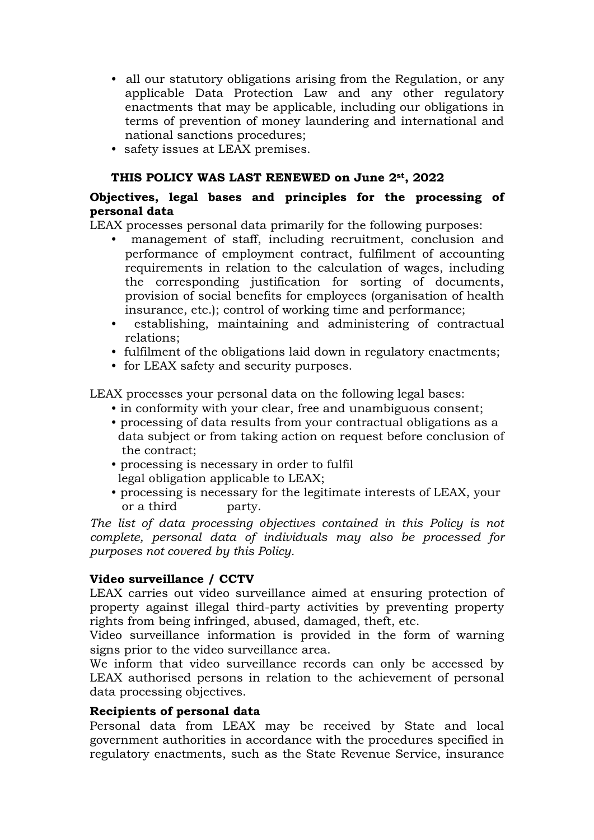- all our statutory obligations arising from the Regulation, or any applicable Data Protection Law and any other regulatory enactments that may be applicable, including our obligations in terms of prevention of money laundering and international and national sanctions procedures;
- safety issues at LEAX premises.

### **THIS POLICY WAS LAST RENEWED on June 2st, 2022**

## **Objectives, legal bases and principles for the processing of personal data**

LEAX processes personal data primarily for the following purposes:

- management of staff, including recruitment, conclusion and performance of employment contract, fulfilment of accounting requirements in relation to the calculation of wages, including the corresponding justification for sorting of documents, provision of social benefits for employees (organisation of health insurance, etc.); control of working time and performance;
- establishing, maintaining and administering of contractual relations;
- fulfilment of the obligations laid down in regulatory enactments;
- for LEAX safety and security purposes.

LEAX processes your personal data on the following legal bases:

- in conformity with your clear, free and unambiguous consent;
- processing of data results from your contractual obligations as a data subject or from taking action on request before conclusion of the contract;
- processing is necessary in order to fulfil legal obligation applicable to LEAX;
- processing is necessary for the legitimate interests of LEAX, your or a third party.

*The list of data processing objectives contained in this Policy is not complete, personal data of individuals may also be processed for purposes not covered by this Policy.*

#### **Video surveillance / CCTV**

LEAX carries out video surveillance aimed at ensuring protection of property against illegal third-party activities by preventing property rights from being infringed, abused, damaged, theft, etc.

Video surveillance information is provided in the form of warning signs prior to the video surveillance area.

We inform that video surveillance records can only be accessed by LEAX authorised persons in relation to the achievement of personal data processing objectives.

#### **Recipients of personal data**

Personal data from LEAX may be received by State and local government authorities in accordance with the procedures specified in regulatory enactments, such as the State Revenue Service, insurance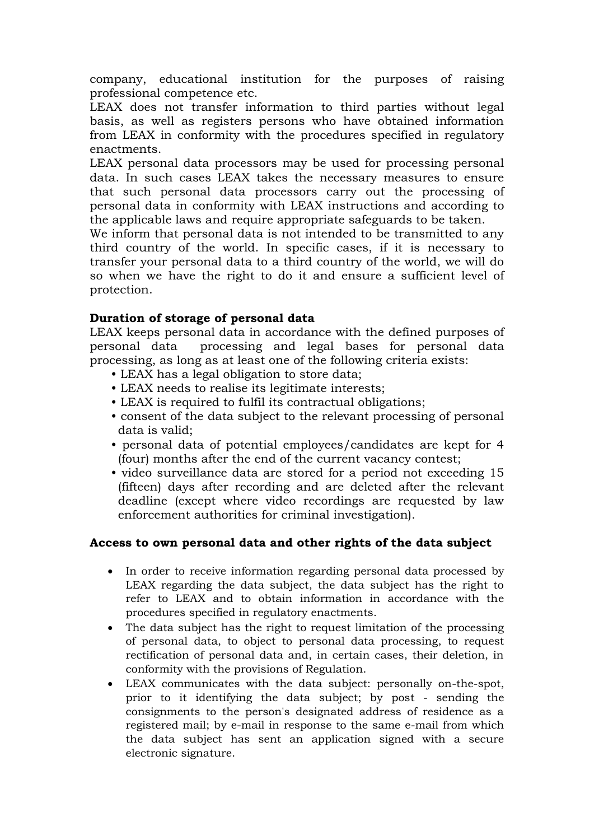company, educational institution for the purposes of raising professional competence etc.

LEAX does not transfer information to third parties without legal basis, as well as registers persons who have obtained information from LEAX in conformity with the procedures specified in regulatory enactments.

LEAX personal data processors may be used for processing personal data. In such cases LEAX takes the necessary measures to ensure that such personal data processors carry out the processing of personal data in conformity with LEAX instructions and according to the applicable laws and require appropriate safeguards to be taken.

We inform that personal data is not intended to be transmitted to any third country of the world. In specific cases, if it is necessary to transfer your personal data to a third country of the world, we will do so when we have the right to do it and ensure a sufficient level of protection.

#### **Duration of storage of personal data**

LEAX keeps personal data in accordance with the defined purposes of personal data processing and legal bases for personal data processing, as long as at least one of the following criteria exists:

- LEAX has a legal obligation to store data;
- LEAX needs to realise its legitimate interests;
- LEAX is required to fulfil its contractual obligations;
- consent of the data subject to the relevant processing of personal data is valid;
- personal data of potential employees/candidates are kept for 4 (four) months after the end of the current vacancy contest;
- video surveillance data are stored for a period not exceeding 15 (fifteen) days after recording and are deleted after the relevant deadline (except where video recordings are requested by law enforcement authorities for criminal investigation).

## **Access to own personal data and other rights of the data subject**

- In order to receive information regarding personal data processed by LEAX regarding the data subject, the data subject has the right to refer to LEAX and to obtain information in accordance with the procedures specified in regulatory enactments.
- The data subject has the right to request limitation of the processing of personal data, to object to personal data processing, to request rectification of personal data and, in certain cases, their deletion, in conformity with the provisions of Regulation.
- LEAX communicates with the data subject: personally on-the-spot, prior to it identifying the data subject; by post - sending the consignments to the person's designated address of residence as a registered mail; by e-mail in response to the same e-mail from which the data subject has sent an application signed with a secure electronic signature.